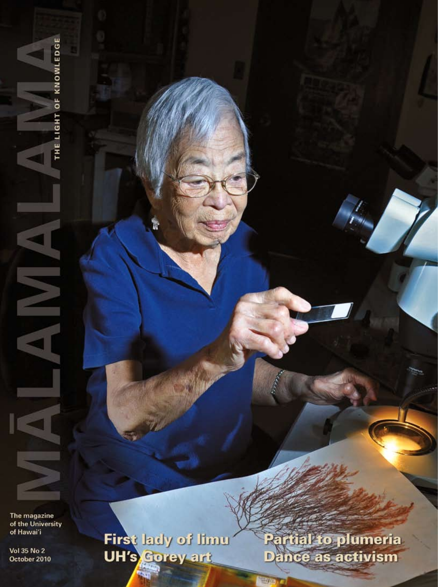The magazine of the University of Hawai'i

THE LIGHT OF KNOWLEDGE

N

Vol 35 No 2 October 2010 First lady of limu

ū.

Partial to plumeria Dance as activism